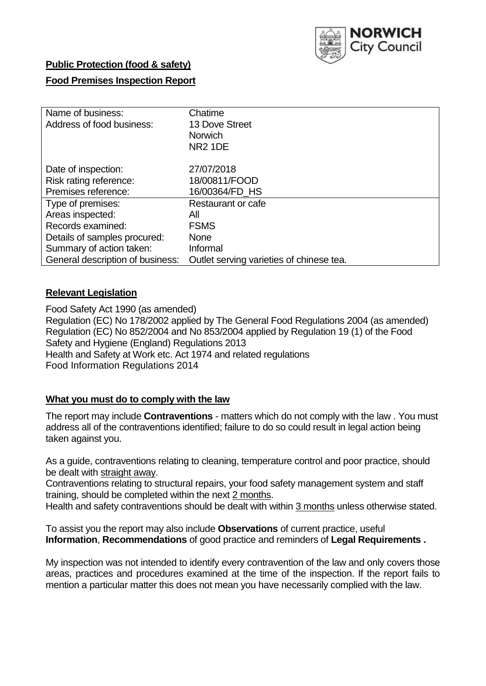

### **Public Protection (food & safety)**

### **Food Premises Inspection Report**

| Name of business:<br>Address of food business: | Chatime<br>13 Dove Street<br><b>Norwich</b><br><b>NR2 1DE</b> |
|------------------------------------------------|---------------------------------------------------------------|
| Date of inspection:                            | 27/07/2018                                                    |
| Risk rating reference:                         | 18/00811/FOOD                                                 |
| Premises reference:                            | 16/00364/FD_HS                                                |
| Type of premises:                              | Restaurant or cafe                                            |
| Areas inspected:                               | All                                                           |
| Records examined:                              | <b>FSMS</b>                                                   |
| Details of samples procured:                   | <b>None</b>                                                   |
| Summary of action taken:                       | Informal                                                      |
| General description of business:               | Outlet serving varieties of chinese tea.                      |

### **Relevant Legislation**

Food Safety Act 1990 (as amended) Regulation (EC) No 178/2002 applied by The General Food Regulations 2004 (as amended) Regulation (EC) No 852/2004 and No 853/2004 applied by Regulation 19 (1) of the Food Safety and Hygiene (England) Regulations 2013 Health and Safety at Work etc. Act 1974 and related regulations Food Information Regulations 2014

### **What you must do to comply with the law**

The report may include **Contraventions** - matters which do not comply with the law . You must address all of the contraventions identified; failure to do so could result in legal action being taken against you.

As a guide, contraventions relating to cleaning, temperature control and poor practice, should be dealt with straight away.

Contraventions relating to structural repairs, your food safety management system and staff training, should be completed within the next 2 months.

Health and safety contraventions should be dealt with within 3 months unless otherwise stated.

To assist you the report may also include **Observations** of current practice, useful **Information**, **Recommendations** of good practice and reminders of **Legal Requirements .**

My inspection was not intended to identify every contravention of the law and only covers those areas, practices and procedures examined at the time of the inspection. If the report fails to mention a particular matter this does not mean you have necessarily complied with the law.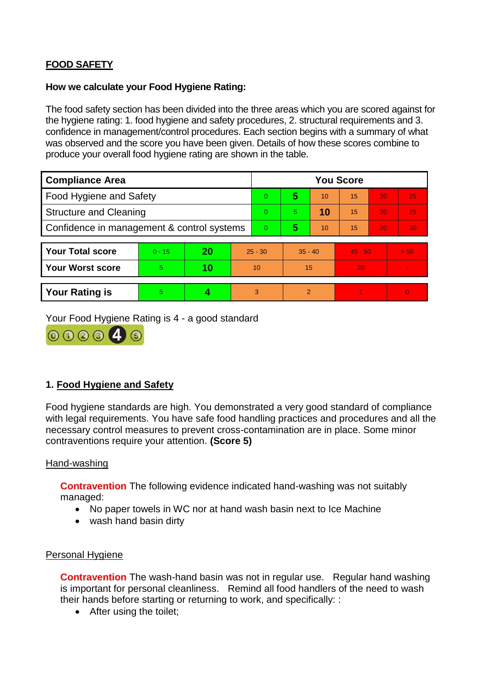# **FOOD SAFETY**

#### **How we calculate your Food Hygiene Rating:**

The food safety section has been divided into the three areas which you are scored against for the hygiene rating: 1. food hygiene and safety procedures, 2. structural requirements and 3. confidence in management/control procedures. Each section begins with a summary of what was observed and the score you have been given. Details of how these scores combine to produce your overall food hygiene rating are shown in the table.

| <b>Compliance Area</b>                     |          |    |           | <b>You Score</b> |                |    |           |    |                |  |  |
|--------------------------------------------|----------|----|-----------|------------------|----------------|----|-----------|----|----------------|--|--|
| Food Hygiene and Safety                    |          |    |           | $\Omega$         | 5              | 10 | 15        | 20 | 25             |  |  |
| <b>Structure and Cleaning</b>              |          |    |           | $\Omega$         | 5.             | 10 | 15        | 20 | 25             |  |  |
| Confidence in management & control systems |          |    | $\Omega$  | 5                | 10             | 15 | 20        | 30 |                |  |  |
|                                            |          |    |           |                  |                |    |           |    |                |  |  |
| <b>Your Total score</b>                    | $0 - 15$ | 20 | $25 - 30$ |                  | $35 - 40$      |    | $45 - 50$ |    | > 50           |  |  |
| <b>Your Worst score</b>                    | 5        | 10 | 10        |                  | 15             |    | 20        |    | $\blacksquare$ |  |  |
|                                            |          |    |           |                  |                |    |           |    |                |  |  |
| <b>Your Rating is</b>                      | 5        |    |           | 3                | $\overline{2}$ |    |           |    | $\Omega$       |  |  |

Your Food Hygiene Rating is 4 - a good standard



## **1. Food Hygiene and Safety**

Food hygiene standards are high. You demonstrated a very good standard of compliance with legal requirements. You have safe food handling practices and procedures and all the necessary control measures to prevent cross-contamination are in place. Some minor contraventions require your attention. **(Score 5)**

### Hand-washing

**Contravention** The following evidence indicated hand-washing was not suitably managed:

- No paper towels in WC nor at hand wash basin next to Ice Machine
- wash hand basin dirty

### Personal Hygiene

**Contravention** The wash-hand basin was not in regular use. Regular hand washing is important for personal cleanliness. Remind all food handlers of the need to wash their hands before starting or returning to work, and specifically: :

• After using the toilet;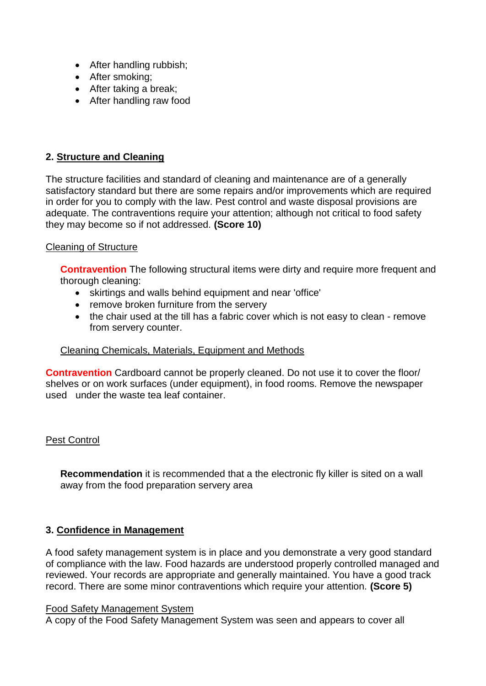- After handling rubbish;
- After smoking:
- After taking a break;
- After handling raw food

### **2. Structure and Cleaning**

The structure facilities and standard of cleaning and maintenance are of a generally satisfactory standard but there are some repairs and/or improvements which are required in order for you to comply with the law. Pest control and waste disposal provisions are adequate. The contraventions require your attention; although not critical to food safety they may become so if not addressed. **(Score 10)**

### Cleaning of Structure

**Contravention** The following structural items were dirty and require more frequent and thorough cleaning:

- skirtings and walls behind equipment and near 'office'
- remove broken furniture from the servery
- the chair used at the till has a fabric cover which is not easy to clean remove from servery counter.

### Cleaning Chemicals, Materials, Equipment and Methods

**Contravention** Cardboard cannot be properly cleaned. Do not use it to cover the floor/ shelves or on work surfaces (under equipment), in food rooms. Remove the newspaper used under the waste tea leaf container.

### Pest Control

**Recommendation** it is recommended that a the electronic fly killer is sited on a wall away from the food preparation servery area

### **3. Confidence in Management**

A food safety management system is in place and you demonstrate a very good standard of compliance with the law. Food hazards are understood properly controlled managed and reviewed. Your records are appropriate and generally maintained. You have a good track record. There are some minor contraventions which require your attention. **(Score 5)**

#### Food Safety Management System

A copy of the Food Safety Management System was seen and appears to cover all